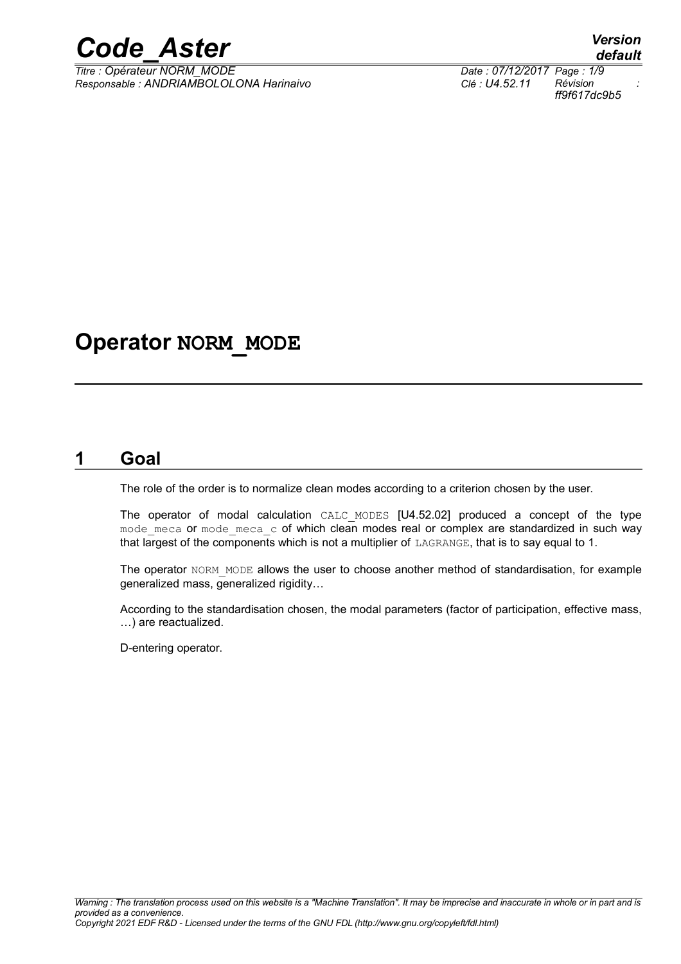*Titre : Opérateur NORM\_MODE Date : 07/12/2017 Page : 1/9 Responsable : ANDRIAMBOLOLONA Harinaivo Clé : U4.52.11 Révision :*

## **Operator NORM\_MODE**

#### **1 Goal**

The role of the order is to normalize clean modes according to a criterion chosen by the user.

The operator of modal calculation CALC\_MODES [U4.52.02] produced a concept of the type mode meca or mode meca  $\,c\,$  of which clean modes real or complex are standardized in such way that largest of the components which is not a multiplier of LAGRANGE, that is to say equal to 1.

The operator NORM MODE allows the user to choose another method of standardisation, for example generalized mass, generalized rigidity…

According to the standardisation chosen, the modal parameters (factor of participation, effective mass, …) are reactualized.

D-entering operator.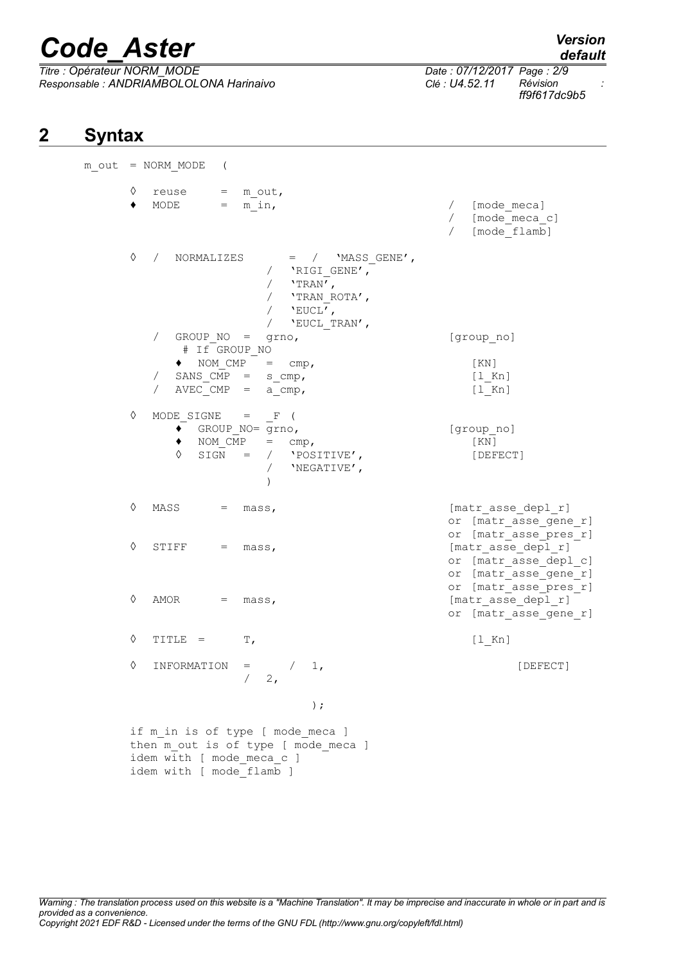*Titre : Opérateur NORM\_MODE Date : 07/12/2017 Page : 2/9 Responsable : ANDRIAMBOLOLONA Harinaivo Clé : U4.52.11 Révision :*

*ff9f617dc9b5*

### **2 Syntax**

|   | $m$ out = NORM MODE (                                                                                                                 |                                                                                               |
|---|---------------------------------------------------------------------------------------------------------------------------------------|-----------------------------------------------------------------------------------------------|
| ٠ | $\Diamond$ reuse = m out,<br>MODE = $m in,$                                                                                           | / [mode meca]<br>/ [mode meca c]<br>/ [mode flamb]                                            |
| ♦ | / NORMALIZES = / 'MASS_GENE',<br>/ 'RIGI_GENE',<br>/ 'TRAN',<br>/ 'TRAN_ROTA',<br>/ 'EUCL',<br>/ $\lq\text{-}EUCL\_TRAN'$ ,           |                                                                                               |
|   | / GROUP NO = grno,<br># If GROUP NO                                                                                                   | [group no]                                                                                    |
|   | $\bullet$ NOM_CMP = cmp,<br>$/$ SANS $CMP = s_{cmp}$ ,<br>AVEC CMP = $a$ cmp,                                                         | [KN]<br>$[1$ Kn]<br>$[1$ Kn]                                                                  |
| ♦ | MODE SIGNE = $F$ (<br>◆ GROUP NO= grno,<br>$NOM\_CMP = cmp,$<br>SIGN = $/$ 'POSITIVE',<br>♦<br>$\sqrt{2}$<br>'NEGATIVE',<br>$\lambda$ | [group_no]<br>[KN]<br>[DEFECT]                                                                |
| ♦ | $MASS = mass,$                                                                                                                        | [matr asse depl r]<br>or [matr asse gene r]                                                   |
| ♦ | STIFF $=$ mass,                                                                                                                       | or [matr_asse_pres_r]<br>[matr asse depl r]<br>or [matr asse depl c]<br>or [matr_asse_gene_r] |
| ♦ | $AMOR = \text{mass}$                                                                                                                  | or [matr_asse_pres_r]<br>[matr asse depl r]<br>or [matr asse gene r]                          |
| ♦ | $TITLE = T,$                                                                                                                          | $[1$ Kn]                                                                                      |
| ♦ | INFORMATION<br>$\sqrt{2}$<br>1,<br>$=$<br>2,                                                                                          | [DEFECT]                                                                                      |
|   | $)$ ;                                                                                                                                 |                                                                                               |
|   | if m in is of type [ mode meca ]<br>then m out is of type [ mode meca ]<br>idem with [ mode meca c ]<br>idem with [ mode flamb ]      |                                                                                               |

*default*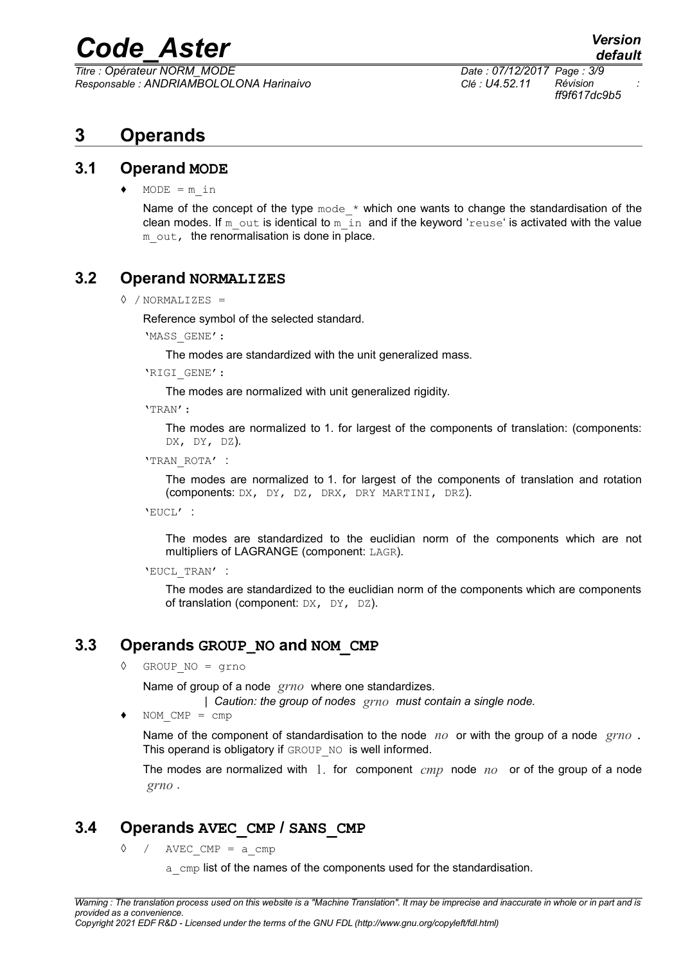*Titre : Opérateur NORM\_MODE Date : 07/12/2017 Page : 3/9 Responsable : ANDRIAMBOLOLONA Harinaivo Clé : U4.52.11 Révision :*

*ff9f617dc9b5*

### **3 Operands**

#### **3.1 Operand MODE**

 $MODE = m$  in

Name of the concept of the type  $_{\text{mode}} \times$  which one wants to change the standardisation of the clean modes. If m\_out is identical to m\_in and if the keyword 'reuse' is activated with the value m out, the renormalisation is done in place.

#### **3.2 Operand NORMALIZES**

#### <span id="page-2-2"></span>◊ / NORMALIZES =

Reference symbol of the selected standard.

'MASS\_GENE':

The modes are standardized with the unit generalized mass.

'RIGI\_GENE':

The modes are normalized with unit generalized rigidity.

'TRAN':

The modes are normalized to 1. for largest of the components of translation: (components: DX, DY, DZ).

'TRAN\_ROTA' :

The modes are normalized to 1. for largest of the components of translation and rotation (components: DX, DY, DZ, DRX, DRY MARTINI, DRZ).

'EUCL' :

The modes are standardized to the euclidian norm of the components which are not multipliers of LAGRANGE (component: LAGR).

'EUCL\_TRAN' :

The modes are standardized to the euclidian norm of the components which are components of translation (component:  $DX$ ,  $DY$ ,  $DZ$ ).

#### **3.3 Operands GROUP\_NO and NOM\_CMP**

<span id="page-2-1"></span>◊ GROUP\_NO = grno

Name of group of a node *grno* where one standardizes.

*| Caution: the group of nodes grno must contain a single node.*

 $\bullet$  NOM CMP = cmp

Name of the component of standardisation to the node *no* or with the group of a node *grno* . This operand is obligatory if GROUP NO is well informed.

The modes are normalized with 1. for component *cmp* node *no* or of the group of a node *grno* .

#### **3.4 Operands AVEC\_CMP / SANS\_CMP**

<span id="page-2-0"></span> $\Diamond$  / AVEC CMP = a cmp

a cmp list of the names of the components used for the standardisation.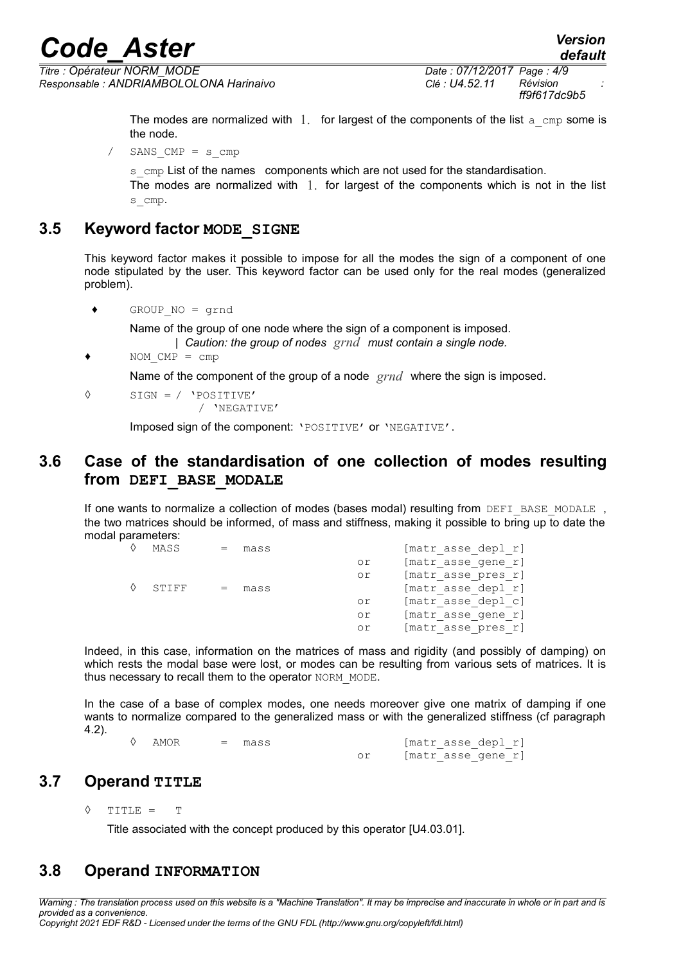*Titre : Opérateur NORM\_MODE Date : 07/12/2017 Page : 4/9 Responsable : ANDRIAMBOLOLONA Harinaivo Clé : U4.52.11 Révision :*

*ff9f617dc9b5*

The modes are normalized with  $1$ . for largest of the components of the list a cmp some is the node.

SANS  $CMP = s$  cmp

 $s_{\text{cm}}$  cmp List of the names components which are not used for the standardisation. The modes are normalized with  $1$ , for largest of the components which is not in the list s cmp.

#### **3.5 Keyword factor MODE\_SIGNE**

This keyword factor makes it possible to impose for all the modes the sign of a component of one node stipulated by the user. This keyword factor can be used only for the real modes (generalized problem).

♦ GROUP\_NO = grnd

Name of the group of one node where the sign of a component is imposed.

*| Caution: the group of nodes grnd must contain a single node.*

 $\bullet$  NOM CMP = cmp

Name of the component of the group of a node *grnd* where the sign is imposed.

```
◊ SIGN = / 'POSITIVE'
```
/ 'NEGATIVE'

Imposed sign of the component: 'POSITIVE' or 'NEGATIVE'.

#### **3.6 Case of the standardisation of one collection of modes resulting from DEFI\_BASE\_MODALE**

If one wants to normalize a collection of modes (bases modal) resulting from DEFI\_BASE\_MODALE , the two matrices should be informed, of mass and stiffness, making it possible to bring up to date the modal parameters:

| MASS  | mass |    | [matr asse depl r] |
|-------|------|----|--------------------|
|       |      | or | [matr asse gene r] |
|       |      | or | [matr asse pres r] |
| STIFF | mass |    | [matr asse depl r] |
|       |      | or | [matr asse depl c] |
|       |      | or | [matr asse gene r] |
|       |      | or | [matr asse pres r] |
|       |      |    |                    |

Indeed, in this case, information on the matrices of mass and rigidity (and possibly of damping) on which rests the modal base were lost, or modes can be resulting from various sets of matrices. It is thus necessary to recall them to the operator NORM\_MODE.

In the case of a base of complex modes, one needs moreover give one matrix of damping if one wants to normalize compared to the generalized mass or with the generalized stiffness (cf paragraph [4.2\)](#page-6-0).

| AMOR | $\sim$ $\sim$ $\sim$ $\sim$ | mass | [matr asse depl r] |  |  |
|------|-----------------------------|------|--------------------|--|--|
|      |                             |      | [matr asse gene r] |  |  |

#### **3.7 Operand TITLE**

◊ TITLE = T

Title associated with the concept produced by this operator [U4.03.01].

#### **3.8 Operand INFORMATION**

*Warning : The translation process used on this website is a "Machine Translation". It may be imprecise and inaccurate in whole or in part and is provided as a convenience. Copyright 2021 EDF R&D - Licensed under the terms of the GNU FDL (http://www.gnu.org/copyleft/fdl.html)*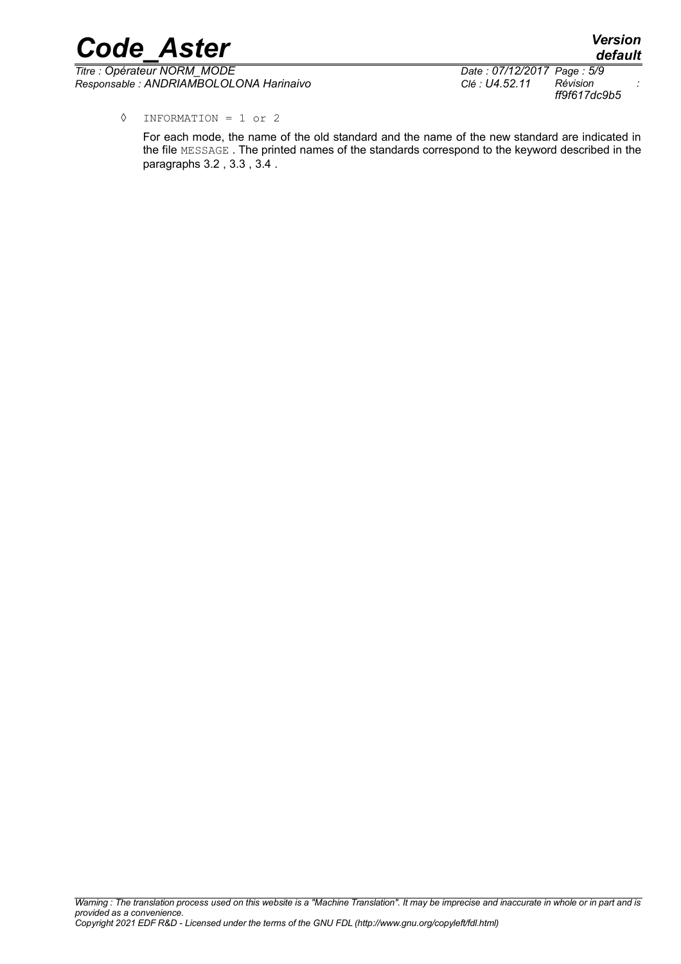*Code\_Aster Version Titre : Opérateur NORM\_MODE Date : 07/12/2017 Page : 5/9 Responsable : ANDRIAMBOLOLONA Harinaivo Clé : U4.52.11 Révision :*

*ff9f617dc9b5*

*default*

◊ INFORMATION = 1 or 2

For each mode, the name of the old standard and the name of the new standard are indicated in the file MESSAGE . The printed names of the standards correspond to the keyword described in the paragraphs [3.2](#page-2-2) , [3.3](#page-2-1) , [3.4](#page-2-0) .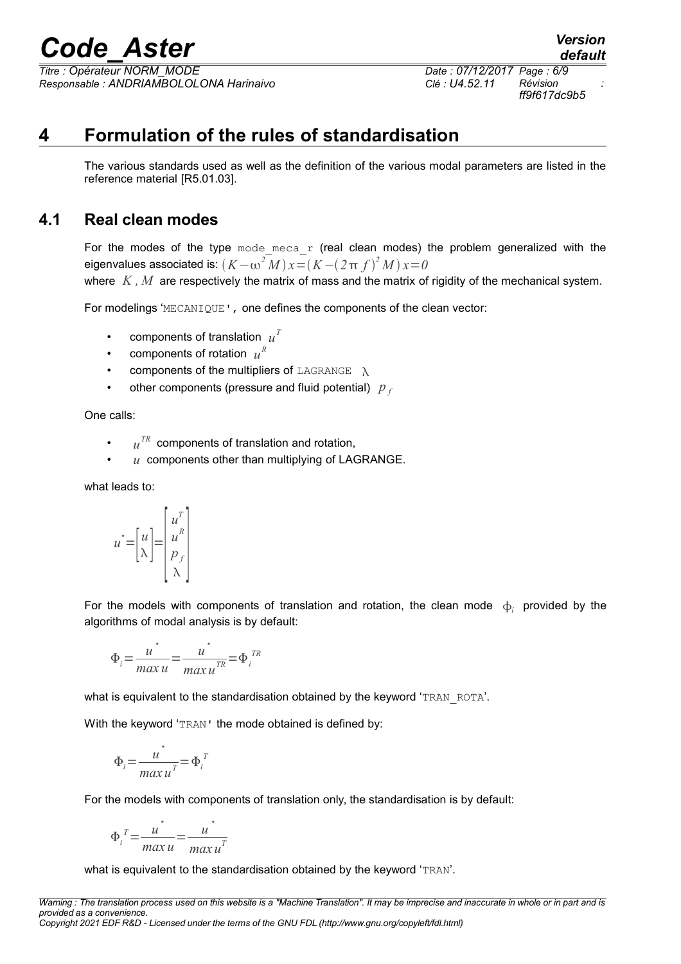*Titre : Opérateur NORM\_MODE Date : 07/12/2017 Page : 6/9 Responsable : ANDRIAMBOLOLONA Harinaivo Clé : U4.52.11 Révision :*

*ff9f617dc9b5*

*default*

### **4 Formulation of the rules of standardisation**

The various standards used as well as the definition of the various modal parameters are listed in the reference material [R5.01.03].

#### **4.1 Real clean modes**

For the modes of the type  $\text{mode}$  meca r (real clean modes) the problem generalized with the  $\epsilon$ igenvalues associated is:  $(K - \omega^2 M) \, x{=} (K - (2 \, \pi \, f)^2 M) \, x{=} 0^{-2}$ 

where *K*, *M* are respectively the matrix of mass and the matrix of rigidity of the mechanical system.

For modelings 'MECANIQUE', one defines the components of the clean vector:

- components of translation  $u^T$
- components of rotation  $u^R$
- components of the multipliers of LAGRANGE  $\lambda$
- other components (pressure and fluid potential)  $p_f$

One calls:

- $\cdot$   $u^{TR}$  components of translation and rotation,
- *u* components other than multiplying of LAGRANGE.

what leads to:

$$
u^* = \begin{bmatrix} u \\ \lambda \end{bmatrix} = \begin{bmatrix} u^T \\ u^R \\ p_f \\ \lambda \end{bmatrix}
$$

For the models with components of translation and rotation, the clean mode  $\phi_i$  provided by the algorithms of modal analysis is by default:

$$
\Phi_i = \frac{u^*}{max u} = \frac{u^*}{max u^{TR}} = \Phi_i^{TR}
$$

what is equivalent to the standardisation obtained by the keyword 'TRAN\_ROTA'.

With the keyword 'TRAN' the mode obtained is defined by:

$$
\Phi_i = \frac{u^*}{\max u^T} = \Phi_i^T
$$

For the models with components of translation only, the standardisation is by default:

$$
\Phi_i^T = \frac{u^*}{\max u} = \frac{u^*}{\max u^T}
$$

what is equivalent to the standardisation obtained by the keyword 'TRAN'.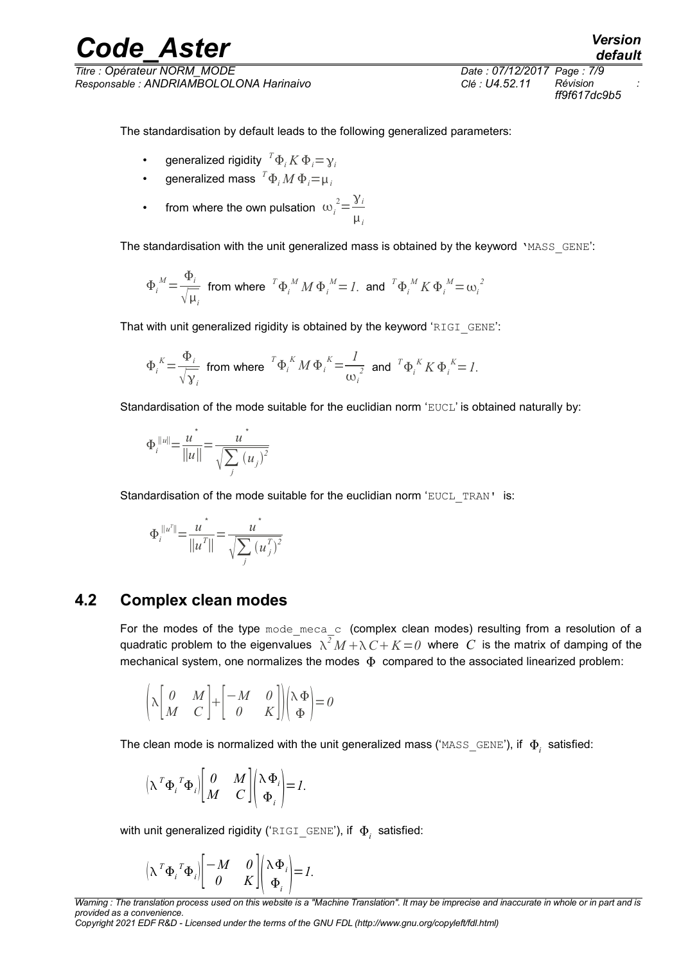The standardisation by default leads to the following generalized parameters:

- generalized rigidity  ${}^{\mathsf{T}} \Phi_i K \Phi_i {=} \gamma_i$
- generalized mass  ${}^{T}\Phi_i M \, \Phi_i \! = \! \mu_i$
- from where the own pulsation  $\omega_i^2 = \frac{\gamma_i}{\sigma_i^2}$  $\mu_i$

The standardisation with the unit generalized mass is obtained by the keyword 'MASS GENE':

$$
\Phi_i^M \text{ = } \frac{\Phi_i}{\sqrt{\mu_i}} \text{ from where } {}^T\Phi_i^M M \Phi_i^M \text{ = } I. \text{ and } {}^T\Phi_i^M K \Phi_i^M \text{ = } \omega_i^2
$$

That with unit generalized rigidity is obtained by the keyword 'RIGI\_GENE':

$$
\Phi_i^K = \frac{\Phi_i}{\sqrt{\gamma_i}} \text{ from where } {}^T \Phi_i^K M \Phi_i^K = \frac{I}{\omega_i^2} \text{ and } {}^T \Phi_i^K K \Phi_i^K = I.
$$

Standardisation of the mode suitable for the euclidian norm 'EUCL' is obtained naturally by:

$$
\Phi_i^{\|u\|} = \frac{u^*}{\|u\|} = \frac{u^*}{\sqrt{\sum_j (u_j)^2}}
$$

Standardisation of the mode suitable for the euclidian norm 'EUCL\_TRAN' is:

$$
\Phi_i^{\|u^T\|} = \frac{u^*}{\|u^T\|} = \frac{u^*}{\sqrt{\sum_j (u^T_j)^2}}
$$

#### **4.2 Complex clean modes**

<span id="page-6-0"></span>For the modes of the type mode\_meca\_c (complex clean modes) resulting from a resolution of a quadratic problem to the eigenvalues  $\lambda^2 M + \lambda C + K = 0$  where  $C$  is the matrix of damping of the mechanical system, one normalizes the modes  $\Phi$  compared to the associated linearized problem:

$$
\left(\lambda \begin{bmatrix} 0 & M \\ M & C \end{bmatrix} + \begin{bmatrix} -M & 0 \\ 0 & K \end{bmatrix} \right) \left(\lambda \Phi \right) = 0
$$

The clean mode is normalized with the unit generalized mass (' $\texttt{MASS\_GENE'}$ ), if  $\ket{\Phi_i}$  satisfied:

$$
\left(\lambda^T\Phi_i^T\Phi_i\right)\begin{bmatrix} 0 & M \\ M & C \end{bmatrix}\begin{pmatrix} \lambda\Phi_i \\ \Phi_i \end{pmatrix} = I.
$$

with unit generalized rigidity ('<code>RIGI\_GENE'), if  $\Phi^+_i$  satisfied:</code>

$$
\left(\lambda^T\Phi_i^T\Phi_i\right)\begin{bmatrix} -M & 0 \\ 0 & K \end{bmatrix}\begin{pmatrix} \lambda\Phi_i \\ \Phi_i \end{pmatrix} = I.
$$

*Warning : The translation process used on this website is a "Machine Translation". It may be imprecise and inaccurate in whole or in part and is provided as a convenience.*

*Copyright 2021 EDF R&D - Licensed under the terms of the GNU FDL (http://www.gnu.org/copyleft/fdl.html)*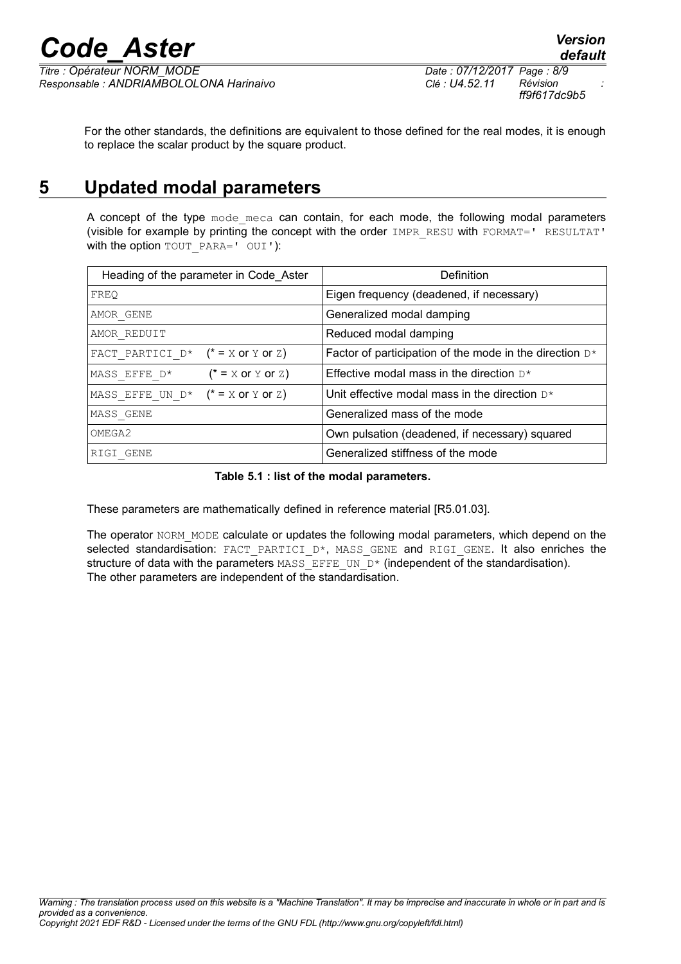*Titre : Opérateur NORM\_MODE Date : 07/12/2017 Page : 8/9 Responsable : ANDRIAMBOLOLONA Harinaivo Clé : U4.52.11 Révision :*

*ff9f617dc9b5*

For the other standards, the definitions are equivalent to those defined for the real modes, it is enough to replace the scalar product by the square product.

### **5 Updated modal parameters**

A concept of the type mode meca can contain, for each mode, the following modal parameters (visible for example by printing the concept with the order IMPR\_RESU with FORMAT=' RESULTAT' with the option TOUT PARA=' OUI'):

| Heading of the parameter in Code_Aster | Definition                                                 |
|----------------------------------------|------------------------------------------------------------|
| FREO                                   | Eigen frequency (deadened, if necessary)                   |
| AMOR GENE                              | Generalized modal damping                                  |
| AMOR REDUIT                            | Reduced modal damping                                      |
| FACT PARTICI $D^*$ (* = X or Y or Z)   | Factor of participation of the mode in the direction $D^*$ |
| $(* = X or Y or Z)$<br>MASS EFFE D*    | Effective modal mass in the direction $D^*$                |
| MASS EFFE UN $D^*$ (* = X or Y or Z)   | Unit effective modal mass in the direction $D^*$           |
| MASS GENE                              | Generalized mass of the mode                               |
| OMEGA2                                 | Own pulsation (deadened, if necessary) squared             |
| RIGI GENE                              | Generalized stiffness of the mode                          |

**Table 5.1 : list of the modal parameters.**

These parameters are mathematically defined in reference material [R5.01.03].

The operator NORM\_MODE calculate or updates the following modal parameters, which depend on the selected standardisation: FACT PARTICI D\*, MASS GENE and RIGI GENE. It also enriches the structure of data with the parameters  $MASSEFFFU$  UN  $D*$  (independent of the standardisation). The other parameters are independent of the standardisation.